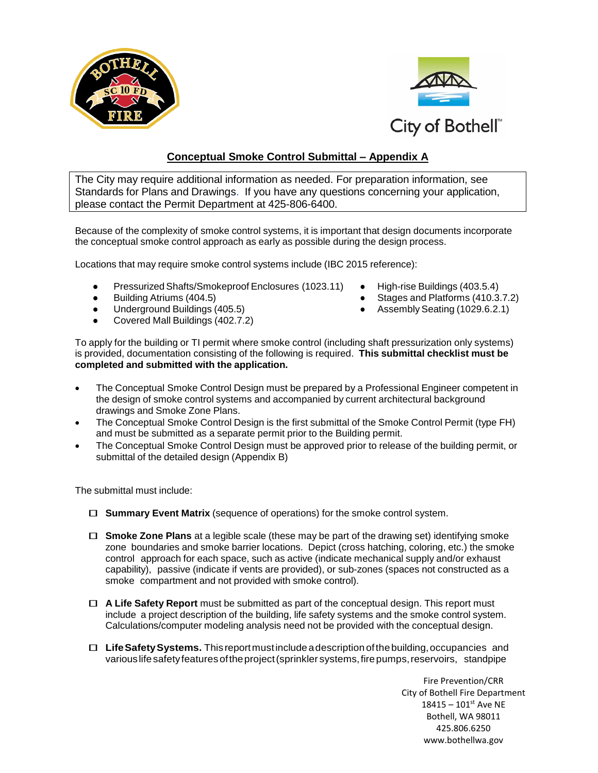



## **Conceptual Smoke Control Submittal – Appendix A**

The City may require additional information as needed. For preparation information, see Standards for Plans and Drawings. If you have any questions concerning your application, please contact the Permit Department at 425-806-6400.

Because of the complexity of smoke control systems, it is important that design documents incorporate the conceptual smoke control approach as early as possible during the design process.

Locations that may require smoke control systems include (IBC 2015 reference):

- PressurizedShafts/Smokeproof Enclosures (1023.11) High-rise Buildings (403.5.4)
- 
- 
- Covered Mall Buildings (402.7.2)
- 
- Building Atriums (404.5) **At a standard Exercise 3 and Platforms** (410.3.7.2)
- Underground Buildings (405.5) **•** Assembly Seating (1029.6.2.1)

To apply for the building or TI permit where smoke control (including shaft pressurization only systems) is provided, documentation consisting of the following is required. **This submittal checklist must be completed and submitted with the application.**

- The Conceptual Smoke Control Design must be prepared by a Professional Engineer competent in the design of smoke control systems and accompanied by current architectural background drawings and Smoke Zone Plans.
- The Conceptual Smoke Control Design is the first submittal of the Smoke Control Permit (type FH) and must be submitted as a separate permit prior to the Building permit.
- The Conceptual Smoke Control Design must be approved prior to release of the building permit, or submittal of the detailed design (Appendix B)

The submittal must include:

- **Summary Event Matrix** (sequence of operations) for the smoke control system.
- **Smoke Zone Plans** at <sup>a</sup> legible scale (these may be part of the drawing set) identifying smoke zone boundaries and smoke barrier locations. Depict (cross hatching, coloring, etc.) the smoke control approach for each space, such as active (indicate mechanical supply and/or exhaust capability), passive (indicate if vents are provided), or sub-zones (spaces not constructed as a smoke compartment and not provided with smoke control).
- **<sup>A</sup> Life Safety Report** must be submitted as part of the conceptual design. This report must include a project description of the building, life safety systems and the smoke control system. Calculations/computer modeling analysis need not be provided with the conceptual design.
- **LifeSafetySystems.** Thisreportmustincludeadescriptionofthebuilding,occupancies and variouslifesafetyfeaturesoftheproject(sprinkler systems,firepumps,reservoirs, standpipe

Fire Prevention/CRR City of Bothell Fire Department  $18415 - 101$ <sup>st</sup> Ave NE Bothell, WA 98011 425.806.6250 www.bothellwa.gov